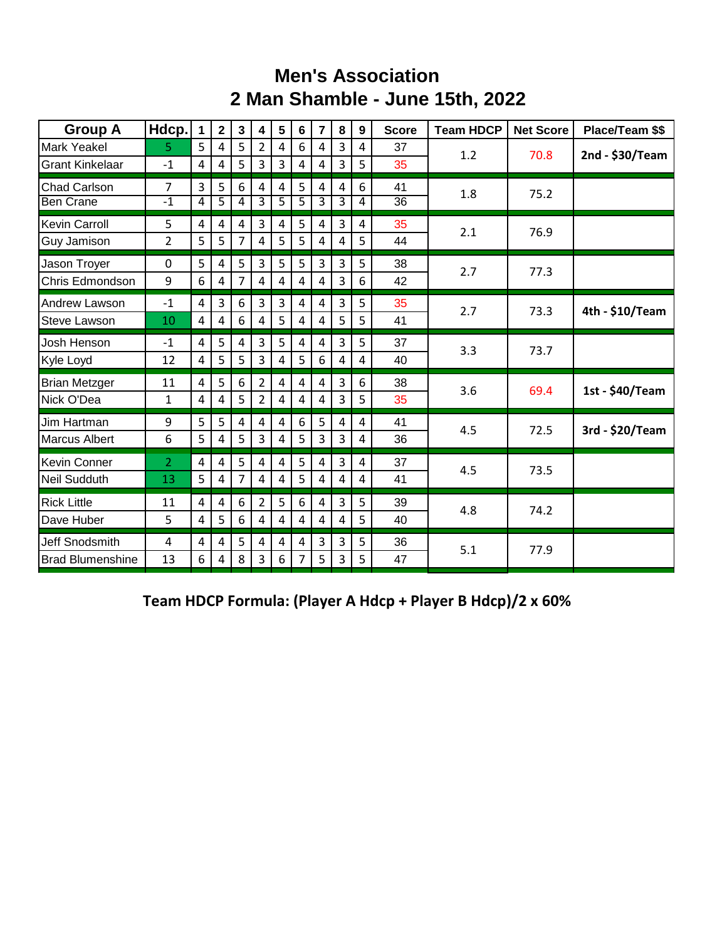## **Men's Association 2 Man Shamble - June 15th, 2022**

| <b>Group A</b>          | Hdcp.          | 1              | $\overline{2}$ | $\mathbf{3}$ | 4              | 5              | 6              | $\overline{7}$          | 8              | 9              | <b>Score</b> | <b>Team HDCP</b> | <b>Net Score</b> | Place/Team \$\$ |
|-------------------------|----------------|----------------|----------------|--------------|----------------|----------------|----------------|-------------------------|----------------|----------------|--------------|------------------|------------------|-----------------|
| <b>Mark Yeakel</b>      | 5.             | 5              | 4              | 5            | $\overline{2}$ | 4              | 6              | 4                       | 3              | 4              | 37           | 1.2              | 70.8             | 2nd - \$30/Team |
| <b>Grant Kinkelaar</b>  | $-1$           | $\overline{4}$ | 4              | 5            | 3              | 3              | 4              | $\overline{4}$          | 3              | 5              | 35           |                  |                  |                 |
| <b>Chad Carlson</b>     | $\overline{7}$ | 3              | 5              | 6            | 4              | 4              | 5              | 4                       | $\overline{4}$ | 6              | 41           | 1.8              | 75.2             |                 |
| <b>Ben Crane</b>        | $-1$           | 4              | 5              | 4            | 3              | $\overline{5}$ | 5              | $\overline{3}$          | $\overline{3}$ | $\overline{4}$ | 36           |                  |                  |                 |
| <b>Kevin Carroll</b>    | 5              | $\overline{4}$ | $\overline{4}$ | 4            | 3              | 4              | 5              | $\overline{4}$          | 3              | 4              | 35           | 2.1              | 76.9             |                 |
| Guy Jamison             | $\overline{2}$ | 5              | 5              | 7            | 4              | 5              | 5              | 4                       | 4              | 5              | 44           |                  |                  |                 |
| Jason Troyer            | 0              | 5              | 4              | 5            | 3              | 5              | 5              | 3                       | 3              | 5              | 38           | 2.7              |                  |                 |
| Chris Edmondson         | 9              | 6              | 4              | 7            | 4              | 4              | 4              | 4                       | 3              | 6              | 42           |                  | 77.3             |                 |
| Andrew Lawson           | $-1$           | $\overline{4}$ | 3              | 6            | 3              | 3              | 4              | 4                       | 3              | 5              | 35           |                  |                  |                 |
| <b>Steve Lawson</b>     | 10             | 4              | 4              | 6            | 4              | 5              | 4              | 4                       | 5              | 5              | 41           | 2.7              | 73.3             | 4th - \$10/Team |
| Josh Henson             | $-1$           | $\overline{4}$ | 5              | 4            | 3              | 5              | 4              | 4                       | 3              | 5              | 37           |                  |                  |                 |
| Kyle Loyd               | 12             | $\overline{4}$ | 5              | 5            | 3              | 4              | 5              | 6                       | 4              | $\overline{4}$ | 40           | 3.3              | 73.7             |                 |
| <b>Brian Metzger</b>    | 11             | $\overline{4}$ | 5              | 6            | $\overline{2}$ | $\overline{4}$ | $\overline{4}$ | $\overline{\mathbf{4}}$ | 3              | 6              | 38           | 3.6              | 69.4             | 1st - \$40/Team |
| Nick O'Dea              | $\mathbf{1}$   | 4              | 4              | 5            | 2              | 4              | 4              | 4                       | 3              | 5              | 35           |                  |                  |                 |
| Jim Hartman             | 9              | 5              | 5              | 4            | 4              | $\overline{4}$ | 6              | 5                       | $\overline{4}$ | $\overline{4}$ | 41           | 4.5              | 72.5             | 3rd - \$20/Team |
| <b>Marcus Albert</b>    | 6              | 5              | 4              | 5            | 3              | 4              | 5              | 3                       | 3              | 4              | 36           |                  |                  |                 |
| <b>Kevin Conner</b>     | $\overline{2}$ | $\overline{4}$ | 4              | 5            | 4              | 4              | 5              | 4                       | $\overline{3}$ | 4              | 37           | 4.5              |                  |                 |
| <b>Neil Sudduth</b>     | 13             | 5              | 4              | 7            | 4              | 4              | 5              | 4                       | 4              | 4              | 41           |                  | 73.5             |                 |
| <b>Rick Little</b>      | 11             | 4              | $\overline{4}$ | 6            | $\overline{2}$ | 5              | 6              | 4                       | 3              | 5              | 39           |                  |                  |                 |
| Dave Huber              | 5              | $\overline{4}$ | 5              | 6            | 4              | 4              | 4              | $\overline{4}$          | 4              | 5              | 40           | 4.8              | 74.2             |                 |
| <b>Jeff Snodsmith</b>   | 4              | $\overline{4}$ | 4              | 5            | 4              | 4              | 4              | 3                       | $\overline{3}$ | 5              | 36           |                  |                  |                 |
| <b>Brad Blumenshine</b> | 13             | 6              | 4              | 8            | 3              | 6              | 7              | 5                       | 3              | 5              | 47           | 5.1              | 77.9             |                 |

**Team HDCP Formula: (Player A Hdcp + Player B Hdcp)/2 x 60%**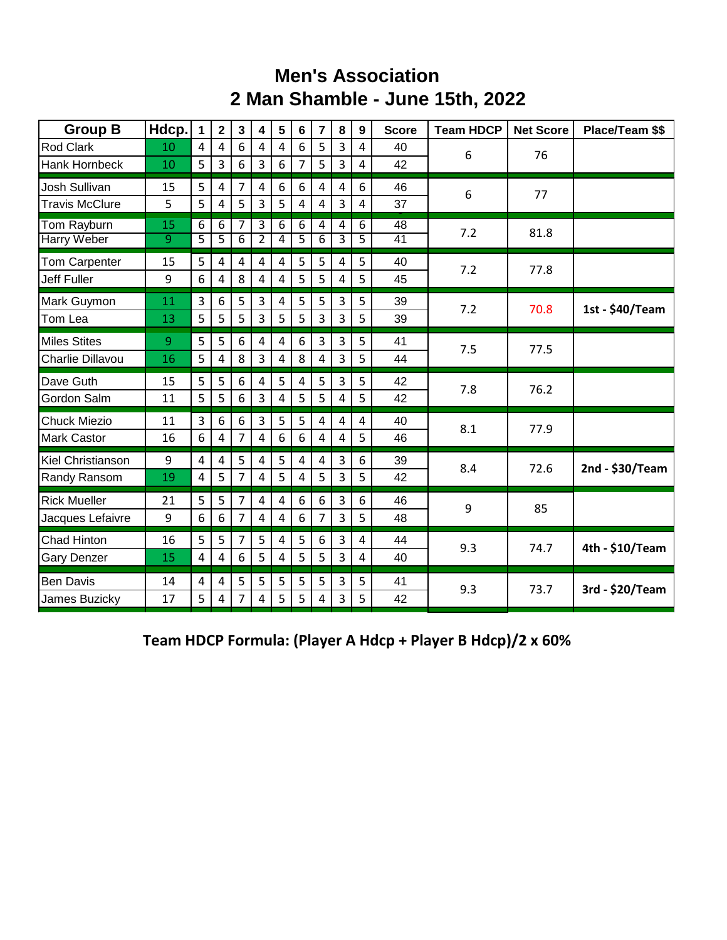## **Men's Association 2 Man Shamble - June 15th, 2022**

| <b>Group B</b>        | Hdcp.          | $\mathbf{1}$   | $\overline{\mathbf{2}}$ | $\overline{\mathbf{3}}$ | 4              | $\overline{\mathbf{5}}$ | $6\phantom{a}$ | $\overline{7}$ | 8              | 9                       | <b>Score</b>    | <b>Team HDCP</b> | <b>Net Score</b> | Place/Team \$\$ |
|-----------------------|----------------|----------------|-------------------------|-------------------------|----------------|-------------------------|----------------|----------------|----------------|-------------------------|-----------------|------------------|------------------|-----------------|
| <b>Rod Clark</b>      | 10             | 4              | 4                       | 6                       | 4              | $\overline{4}$          | 6              | 5              | 3              | $\overline{4}$          | 40              | 6                | 76               |                 |
| Hank Hornbeck         | 10             | 5              | 3                       | 6                       | 3              | 6                       | $\overline{7}$ | 5              | 3              | $\overline{\mathbf{4}}$ | 42              |                  |                  |                 |
| <b>Josh Sullivan</b>  | 15             | 5              | 4                       | 7                       | 4              | 6                       | 6              | $\overline{4}$ | 4              | 6                       | 46              | 6                |                  |                 |
| <b>Travis McClure</b> | 5              | 5              | 4                       | 5                       | 3              | 5                       | $\overline{4}$ | 4              | 3              | $\overline{4}$          | 37              |                  | 77               |                 |
| Tom Rayburn           | 15             | 6              | $\overline{6}$          | 7                       | 3              | 6                       | 6              | $\overline{4}$ | 4              | 6                       | 48              | 7.2              | 81.8             |                 |
| <b>Harry Weber</b>    | $\overline{9}$ | $\overline{5}$ | 5                       | 6                       | $\overline{2}$ | 4                       | $\overline{5}$ | $\overline{6}$ | 3              | $\overline{5}$          | $\overline{41}$ |                  |                  |                 |
| <b>Tom Carpenter</b>  | 15             | 5              | $\overline{4}$          | 4                       | $\overline{4}$ | $\overline{4}$          | 5              | 5              | $\overline{4}$ | 5                       | 40              | 7.2              | 77.8             |                 |
| <b>Jeff Fuller</b>    | 9              | 6              | 4                       | 8                       | $\overline{4}$ | 4                       | 5              | 5              | 4              | 5                       | 45              |                  |                  |                 |
| Mark Guymon           | 11             | 3              | 6                       | 5                       | 3              | $\overline{4}$          | 5              | 5              | $\overline{3}$ | 5                       | 39              | 7.2              | 70.8             | 1st - \$40/Team |
| Tom Lea               | 13             | 5              | 5                       | 5                       | 3              | 5                       | 5              | 3              | 3              | 5                       | 39              |                  |                  |                 |
| <b>Miles Stites</b>   | 9              | 5              | 5                       | 6                       | 4              | $\overline{4}$          | 6              | $\overline{3}$ | $\overline{3}$ | 5                       | 41              | 7.5              | 77.5             |                 |
| Charlie Dillavou      | 16             | 5              | 4                       | 8                       | 3              | $\overline{4}$          | 8              | 4              | 3              | 5                       | 44              |                  |                  |                 |
| Dave Guth             | 15             | 5              | 5                       | 6                       | 4              | 5                       | 4              | 5              | 3              | 5                       | 42              | 7.8              | 76.2             |                 |
| Gordon Salm           | 11             | 5              | 5                       | 6                       | 3              | 4                       | 5              | 5              | 4              | 5                       | 42              |                  |                  |                 |
| <b>Chuck Miezio</b>   | 11             | 3              | 6                       | 6                       | 3              | 5                       | 5              | $\overline{4}$ | $\overline{4}$ | $\overline{4}$          | 40              | 8.1              | 77.9             |                 |
| <b>Mark Castor</b>    | 16             | 6              | 4                       | 7                       | $\overline{4}$ | 6                       | 6              | $\sqrt{4}$     | 4              | 5                       | 46              |                  |                  |                 |
| Kiel Christianson     | 9              | 4              | $\overline{4}$          | 5                       | $\overline{4}$ | 5                       | 4              | $\overline{4}$ | $\overline{3}$ | 6                       | 39              | 8.4              | 72.6             | 2nd - \$30/Team |
| Randy Ransom          | 19             | 4              | 5                       | 7                       | $\overline{4}$ | 5                       | 4              | 5              | 3              | 5                       | 42              |                  |                  |                 |
| <b>Rick Mueller</b>   | 21             | 5              | 5                       | 7                       | $\overline{4}$ | 4                       | 6              | 6              | 3              | 6                       | 46              | 9                | 85               |                 |
| Jacques Lefaivre      | 9              | 6              | 6                       | 7                       | $\overline{4}$ | 4                       | 6              | 7              | 3              | 5                       | 48              |                  |                  |                 |
| <b>Chad Hinton</b>    | 16             | 5              | 5                       | 7                       | 5              | $\overline{4}$          | 5              | 6              | 3              | 4                       | 44              | 9.3              | 74.7             | 4th - \$10/Team |
| <b>Gary Denzer</b>    | 15             | 4              | 4                       | 6                       | 5              | 4                       | 5              | 5              | 3              | $\overline{4}$          | 40              |                  |                  |                 |
| <b>Ben Davis</b>      | 14             | $\overline{4}$ | 4                       | 5                       | 5              | 5                       | 5              | 5              | 3              | 5                       | 41              | 9.3              | 73.7             | 3rd - \$20/Team |
| James Buzicky         | 17             | 5              | 4                       | 7                       | 4              | 5                       | 5              | 4              | 3              | 5                       | 42              |                  |                  |                 |

**Team HDCP Formula: (Player A Hdcp + Player B Hdcp)/2 x 60%**